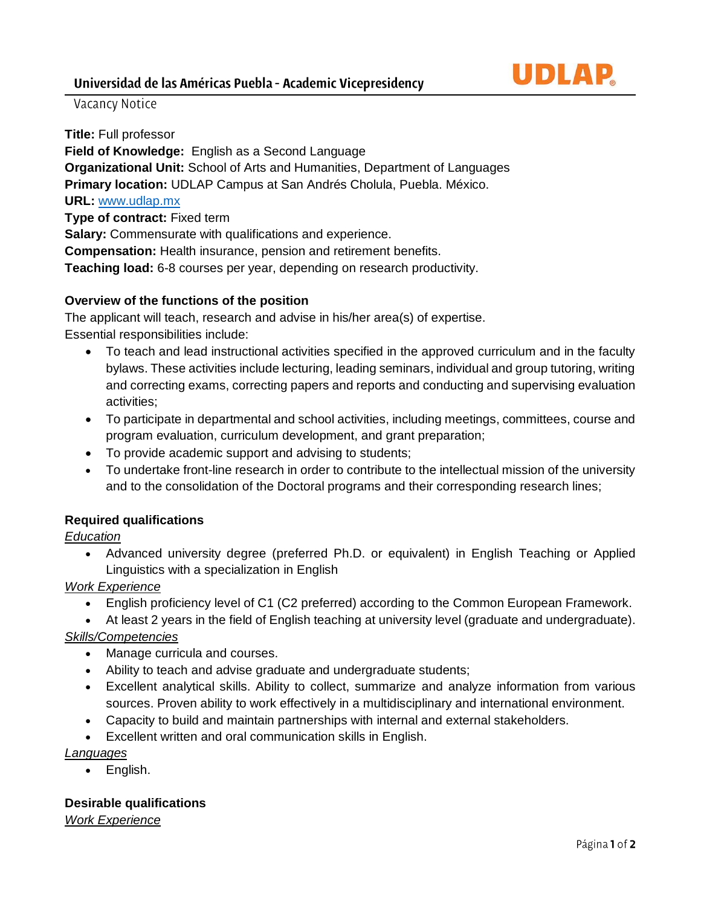

# Vacancy Notice

**Title:** Full professor **Field of Knowledge:** English as a Second Language **Organizational Unit:** School of Arts and Humanities, Department of Languages **Primary location:** UDLAP Campus at San Andrés Cholula, Puebla. México. **URL:** [www.udlap.mx](http://www.udlap.mx/) **Type of contract:** Fixed term **Salary:** Commensurate with qualifications and experience. **Compensation:** Health insurance, pension and retirement benefits. **Teaching load:** 6-8 courses per year, depending on research productivity.

### **Overview of the functions of the position**

The applicant will teach, research and advise in his/her area(s) of expertise. Essential responsibilities include:

- To teach and lead instructional activities specified in the approved curriculum and in the faculty bylaws. These activities include lecturing, leading seminars, individual and group tutoring, writing and correcting exams, correcting papers and reports and conducting and supervising evaluation activities;
- To participate in departmental and school activities, including meetings, committees, course and program evaluation, curriculum development, and grant preparation;
- To provide academic support and advising to students;
- To undertake front-line research in order to contribute to the intellectual mission of the university and to the consolidation of the Doctoral programs and their corresponding research lines;

## **Required qualifications**

#### *Education*

• Advanced university degree (preferred Ph.D. or equivalent) in English Teaching or Applied Linguistics with a specialization in English

#### *Work Experience*

- English proficiency level of C1 (C2 preferred) according to the Common European Framework.
- At least 2 years in the field of English teaching at university level (graduate and undergraduate).

## *Skills/Competencies*

- Manage curricula and courses.
- Ability to teach and advise graduate and undergraduate students;
- Excellent analytical skills. Ability to collect, summarize and analyze information from various sources. Proven ability to work effectively in a multidisciplinary and international environment.
- Capacity to build and maintain partnerships with internal and external stakeholders.
- Excellent written and oral communication skills in English.

*Languages*

• English.

#### **Desirable qualifications**

*Work Experience*